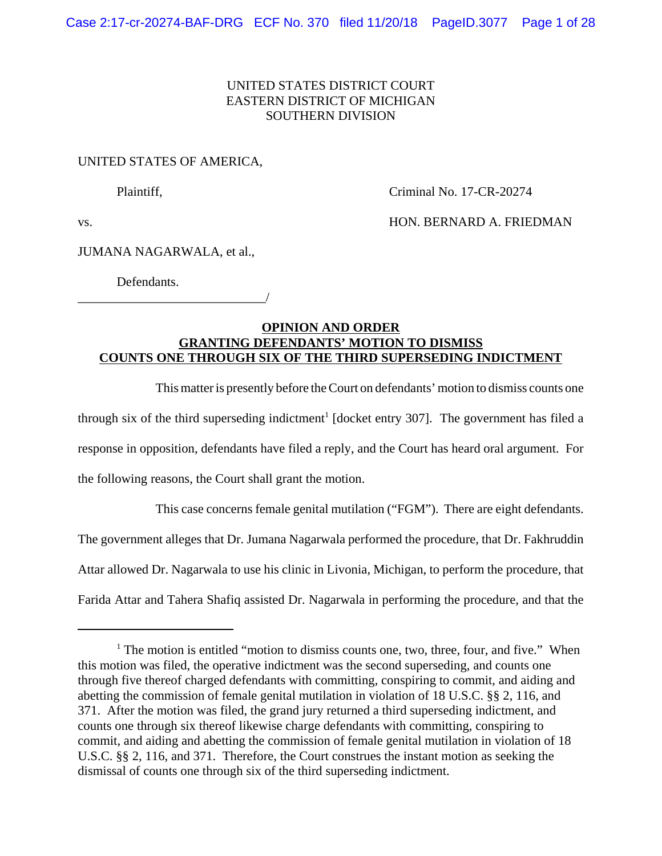# UNITED STATES DISTRICT COURT EASTERN DISTRICT OF MICHIGAN SOUTHERN DIVISION

# UNITED STATES OF AMERICA,

Plaintiff, **Criminal No. 17-CR-20274** 

vs. The contract of the contract of the HON. BERNARD A. FRIEDMAN

# JUMANA NAGARWALA, et al.,

\_\_\_\_\_\_\_\_\_\_\_\_\_\_\_\_\_\_\_\_\_\_\_\_\_\_\_\_\_/

Defendants.

# **OPINION AND ORDER GRANTING DEFENDANTS' MOTION TO DISMISS COUNTS ONE THROUGH SIX OF THE THIRD SUPERSEDING INDICTMENT**

This matter is presently before the Court on defendants' motion to dismiss counts one through six of the third superseding indictment<sup>1</sup> [docket entry 307]. The government has filed a response in opposition, defendants have filed a reply, and the Court has heard oral argument. For the following reasons, the Court shall grant the motion.

This case concerns female genital mutilation ("FGM"). There are eight defendants. The government alleges that Dr. Jumana Nagarwala performed the procedure, that Dr. Fakhruddin Attar allowed Dr. Nagarwala to use his clinic in Livonia, Michigan, to perform the procedure, that Farida Attar and Tahera Shafiq assisted Dr. Nagarwala in performing the procedure, and that the

<sup>&</sup>lt;sup>1</sup> The motion is entitled "motion to dismiss counts one, two, three, four, and five." When this motion was filed, the operative indictment was the second superseding, and counts one through five thereof charged defendants with committing, conspiring to commit, and aiding and abetting the commission of female genital mutilation in violation of 18 U.S.C. §§ 2, 116, and 371. After the motion was filed, the grand jury returned a third superseding indictment, and counts one through six thereof likewise charge defendants with committing, conspiring to commit, and aiding and abetting the commission of female genital mutilation in violation of 18 U.S.C. §§ 2, 116, and 371. Therefore, the Court construes the instant motion as seeking the dismissal of counts one through six of the third superseding indictment.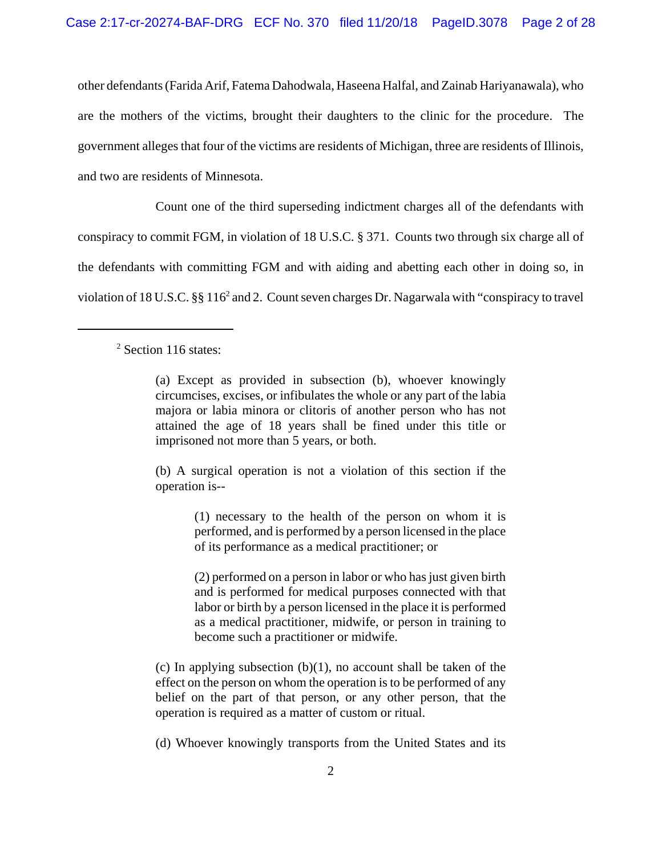other defendants (Farida Arif, Fatema Dahodwala, Haseena Halfal, and Zainab Hariyanawala), who are the mothers of the victims, brought their daughters to the clinic for the procedure. The government alleges that four of the victims are residents of Michigan, three are residents of Illinois, and two are residents of Minnesota.

Count one of the third superseding indictment charges all of the defendants with conspiracy to commit FGM, in violation of 18 U.S.C. § 371. Counts two through six charge all of the defendants with committing FGM and with aiding and abetting each other in doing so, in violation of 18 U.S.C. §§ 116<sup>2</sup> and 2. Count seven charges Dr. Nagarwala with "conspiracy to travel

(b) A surgical operation is not a violation of this section if the operation is--

> (1) necessary to the health of the person on whom it is performed, and is performed by a person licensed in the place of its performance as a medical practitioner; or

> (2) performed on a person in labor or who has just given birth and is performed for medical purposes connected with that labor or birth by a person licensed in the place it is performed as a medical practitioner, midwife, or person in training to become such a practitioner or midwife.

(c) In applying subsection  $(b)(1)$ , no account shall be taken of the effect on the person on whom the operation is to be performed of any belief on the part of that person, or any other person, that the operation is required as a matter of custom or ritual.

(d) Whoever knowingly transports from the United States and its

<sup>&</sup>lt;sup>2</sup> Section 116 states:

<sup>(</sup>a) Except as provided in subsection (b), whoever knowingly circumcises, excises, or infibulates the whole or any part of the labia majora or labia minora or clitoris of another person who has not attained the age of 18 years shall be fined under this title or imprisoned not more than 5 years, or both.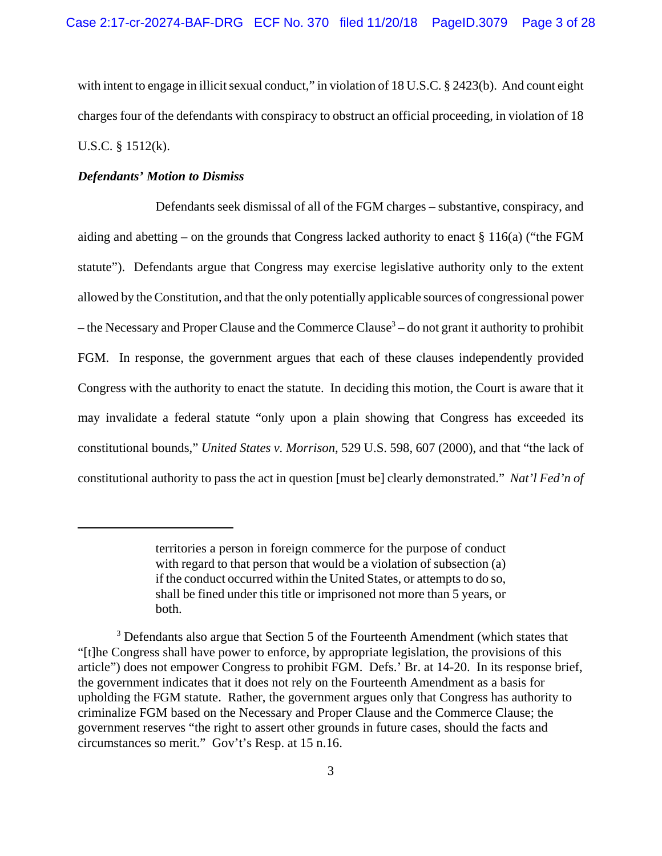with intent to engage in illicit sexual conduct," in violation of 18 U.S.C. § 2423(b). And count eight charges four of the defendants with conspiracy to obstruct an official proceeding, in violation of 18 U.S.C. § 1512(k).

# *Defendants' Motion to Dismiss*

Defendants seek dismissal of all of the FGM charges – substantive, conspiracy, and aiding and abetting – on the grounds that Congress lacked authority to enact  $\S 116(a)$  ("the FGM statute"). Defendants argue that Congress may exercise legislative authority only to the extent allowed by the Constitution, and that the only potentially applicable sources of congressional power – the Necessary and Proper Clause and the Commerce Clause<sup>3</sup> – do not grant it authority to prohibit FGM. In response, the government argues that each of these clauses independently provided Congress with the authority to enact the statute. In deciding this motion, the Court is aware that it may invalidate a federal statute "only upon a plain showing that Congress has exceeded its constitutional bounds," *United States v. Morrison*, 529 U.S. 598, 607 (2000), and that "the lack of constitutional authority to pass the act in question [must be] clearly demonstrated." *Nat'l Fed'n of*

territories a person in foreign commerce for the purpose of conduct with regard to that person that would be a violation of subsection (a) if the conduct occurred within the United States, or attempts to do so, shall be fined under this title or imprisoned not more than 5 years, or both.

<sup>&</sup>lt;sup>3</sup> Defendants also argue that Section 5 of the Fourteenth Amendment (which states that "[t]he Congress shall have power to enforce, by appropriate legislation, the provisions of this article") does not empower Congress to prohibit FGM. Defs.' Br. at 14-20. In its response brief, the government indicates that it does not rely on the Fourteenth Amendment as a basis for upholding the FGM statute. Rather, the government argues only that Congress has authority to criminalize FGM based on the Necessary and Proper Clause and the Commerce Clause; the government reserves "the right to assert other grounds in future cases, should the facts and circumstances so merit." Gov't's Resp. at 15 n.16.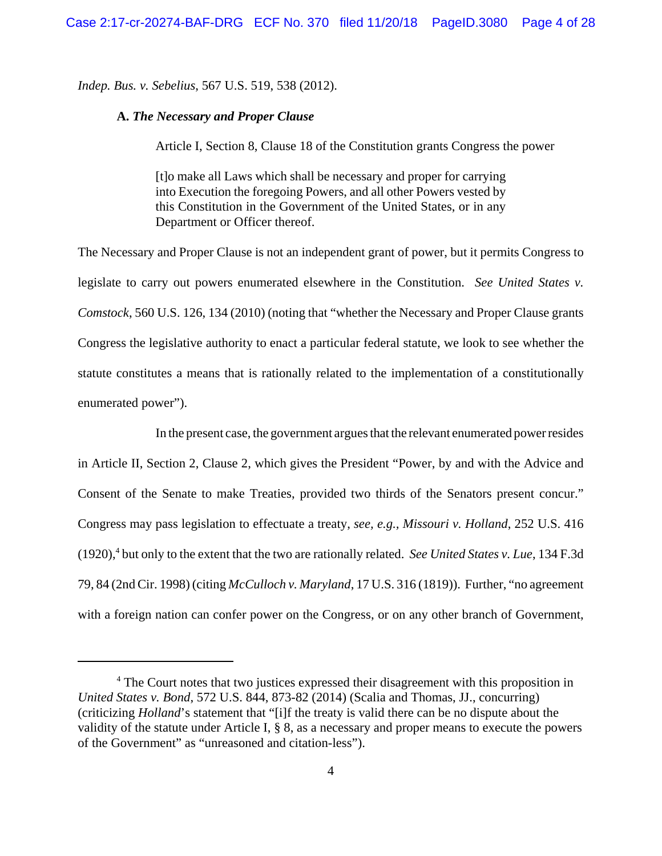*Indep. Bus. v. Sebelius*, 567 U.S. 519, 538 (2012).

## **A.** *The Necessary and Proper Clause*

Article I, Section 8, Clause 18 of the Constitution grants Congress the power

[t]o make all Laws which shall be necessary and proper for carrying into Execution the foregoing Powers, and all other Powers vested by this Constitution in the Government of the United States, or in any Department or Officer thereof.

The Necessary and Proper Clause is not an independent grant of power, but it permits Congress to legislate to carry out powers enumerated elsewhere in the Constitution. *See United States v. Comstock*, 560 U.S. 126, 134 (2010) (noting that "whether the Necessary and Proper Clause grants Congress the legislative authority to enact a particular federal statute, we look to see whether the statute constitutes a means that is rationally related to the implementation of a constitutionally enumerated power").

In the present case, the government argues that the relevant enumerated power resides in Article II, Section 2, Clause 2, which gives the President "Power, by and with the Advice and Consent of the Senate to make Treaties, provided two thirds of the Senators present concur." Congress may pass legislation to effectuate a treaty, *see, e.g., Missouri v. Holland*, 252 U.S. 416 (1920),<sup>4</sup> but only to the extent that the two are rationally related. *See United States v. Lue*, 134 F.3d 79, 84 (2nd Cir. 1998) (citing *McCulloch v. Maryland*, 17 U.S. 316 (1819)). Further, "no agreement with a foreign nation can confer power on the Congress, or on any other branch of Government,

<sup>&</sup>lt;sup>4</sup> The Court notes that two justices expressed their disagreement with this proposition in *United States v. Bond*, 572 U.S. 844, 873-82 (2014) (Scalia and Thomas, JJ., concurring) (criticizing *Holland*'s statement that "[i]f the treaty is valid there can be no dispute about the validity of the statute under Article I, § 8, as a necessary and proper means to execute the powers of the Government" as "unreasoned and citation-less").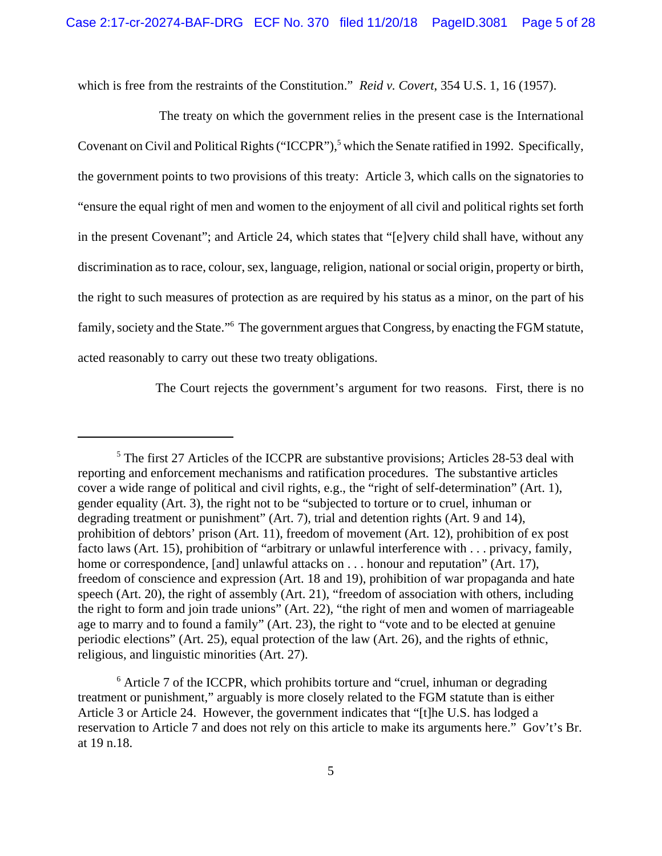which is free from the restraints of the Constitution." *Reid v. Covert*, 354 U.S. 1, 16 (1957).

 The treaty on which the government relies in the present case is the International Covenant on Civil and Political Rights ("ICCPR"),<sup>5</sup> which the Senate ratified in 1992. Specifically, the government points to two provisions of this treaty: Article 3, which calls on the signatories to "ensure the equal right of men and women to the enjoyment of all civil and political rights set forth in the present Covenant"; and Article 24, which states that "[e]very child shall have, without any discrimination as to race, colour, sex, language, religion, national or social origin, property or birth, the right to such measures of protection as are required by his status as a minor, on the part of his family, society and the State."<sup>6</sup> The government argues that Congress, by enacting the FGM statute, acted reasonably to carry out these two treaty obligations.

The Court rejects the government's argument for two reasons. First, there is no

<sup>&</sup>lt;sup>5</sup> The first 27 Articles of the ICCPR are substantive provisions; Articles 28-53 deal with reporting and enforcement mechanisms and ratification procedures. The substantive articles cover a wide range of political and civil rights, e.g., the "right of self-determination" (Art. 1), gender equality (Art. 3), the right not to be "subjected to torture or to cruel, inhuman or degrading treatment or punishment" (Art. 7), trial and detention rights (Art. 9 and 14), prohibition of debtors' prison (Art. 11), freedom of movement (Art. 12), prohibition of ex post facto laws (Art. 15), prohibition of "arbitrary or unlawful interference with . . . privacy, family, home or correspondence, [and] unlawful attacks on . . . honour and reputation" (Art. 17), freedom of conscience and expression (Art. 18 and 19), prohibition of war propaganda and hate speech (Art. 20), the right of assembly (Art. 21), "freedom of association with others, including the right to form and join trade unions" (Art. 22), "the right of men and women of marriageable age to marry and to found a family" (Art. 23), the right to "vote and to be elected at genuine periodic elections" (Art. 25), equal protection of the law (Art. 26), and the rights of ethnic, religious, and linguistic minorities (Art. 27).

<sup>&</sup>lt;sup>6</sup> Article 7 of the ICCPR, which prohibits torture and "cruel, inhuman or degrading treatment or punishment," arguably is more closely related to the FGM statute than is either Article 3 or Article 24. However, the government indicates that "[t]he U.S. has lodged a reservation to Article 7 and does not rely on this article to make its arguments here." Gov't's Br. at 19 n.18.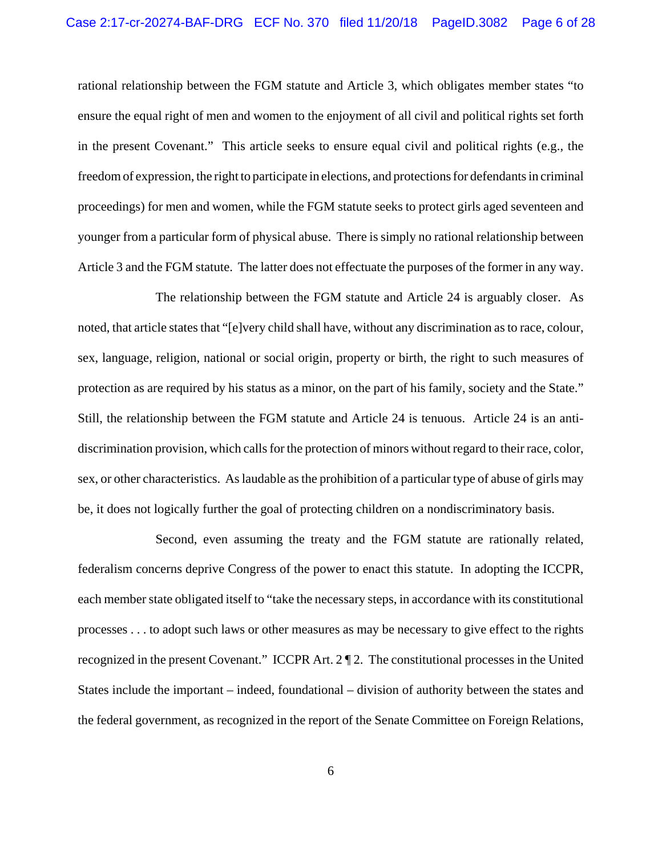rational relationship between the FGM statute and Article 3, which obligates member states "to ensure the equal right of men and women to the enjoyment of all civil and political rights set forth in the present Covenant." This article seeks to ensure equal civil and political rights (e.g., the freedom of expression, the right to participate in elections, and protections for defendants in criminal proceedings) for men and women, while the FGM statute seeks to protect girls aged seventeen and younger from a particular form of physical abuse. There is simply no rational relationship between Article 3 and the FGM statute. The latter does not effectuate the purposes of the former in any way.

The relationship between the FGM statute and Article 24 is arguably closer. As noted, that article states that "[e]very child shall have, without any discrimination as to race, colour, sex, language, religion, national or social origin, property or birth, the right to such measures of protection as are required by his status as a minor, on the part of his family, society and the State." Still, the relationship between the FGM statute and Article 24 is tenuous. Article 24 is an antidiscrimination provision, which calls for the protection of minors without regard to their race, color, sex, or other characteristics. As laudable as the prohibition of a particular type of abuse of girls may be, it does not logically further the goal of protecting children on a nondiscriminatory basis.

Second, even assuming the treaty and the FGM statute are rationally related, federalism concerns deprive Congress of the power to enact this statute. In adopting the ICCPR, each member state obligated itself to "take the necessary steps, in accordance with its constitutional processes . . . to adopt such laws or other measures as may be necessary to give effect to the rights recognized in the present Covenant." ICCPR Art. 2 ¶ 2. The constitutional processes in the United States include the important – indeed, foundational – division of authority between the states and the federal government, as recognized in the report of the Senate Committee on Foreign Relations,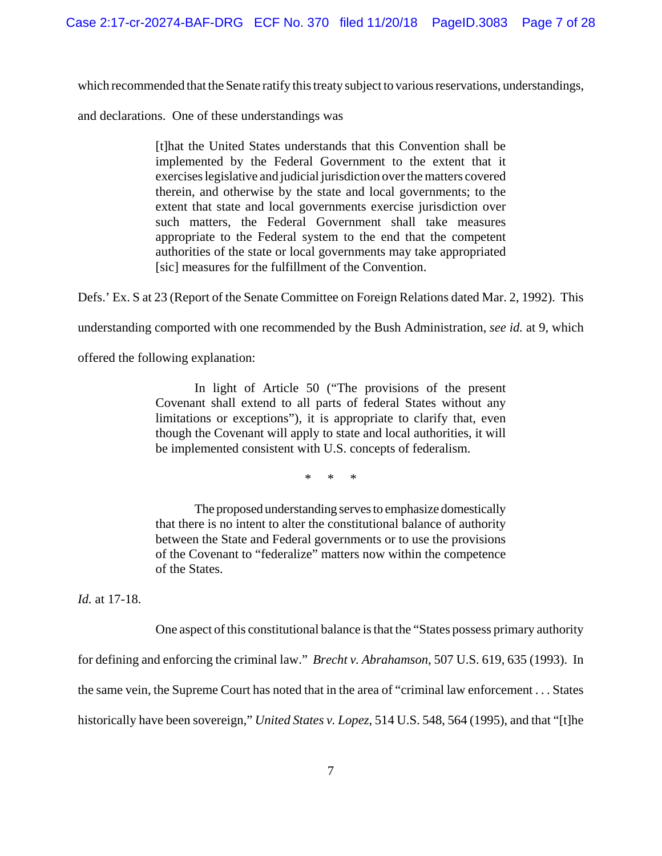which recommended that the Senate ratify this treaty subject to various reservations, understandings,

and declarations. One of these understandings was

[t]hat the United States understands that this Convention shall be implemented by the Federal Government to the extent that it exercises legislative and judicial jurisdiction over the matters covered therein, and otherwise by the state and local governments; to the extent that state and local governments exercise jurisdiction over such matters, the Federal Government shall take measures appropriate to the Federal system to the end that the competent authorities of the state or local governments may take appropriated [sic] measures for the fulfillment of the Convention.

Defs.' Ex. S at 23 (Report of the Senate Committee on Foreign Relations dated Mar. 2, 1992). This

understanding comported with one recommended by the Bush Administration, *see id.* at 9, which

offered the following explanation:

In light of Article 50 ("The provisions of the present Covenant shall extend to all parts of federal States without any limitations or exceptions"), it is appropriate to clarify that, even though the Covenant will apply to state and local authorities, it will be implemented consistent with U.S. concepts of federalism.

\* \* \*

The proposed understanding serves to emphasize domestically that there is no intent to alter the constitutional balance of authority between the State and Federal governments or to use the provisions of the Covenant to "federalize" matters now within the competence of the States.

*Id.* at 17-18.

One aspect of this constitutional balance is that the "States possess primary authority

for defining and enforcing the criminal law." *Brecht v. Abrahamson*, 507 U.S. 619, 635 (1993). In

the same vein, the Supreme Court has noted that in the area of "criminal law enforcement . . . States

historically have been sovereign," *United States v. Lopez*, 514 U.S. 548, 564 (1995), and that "[t]he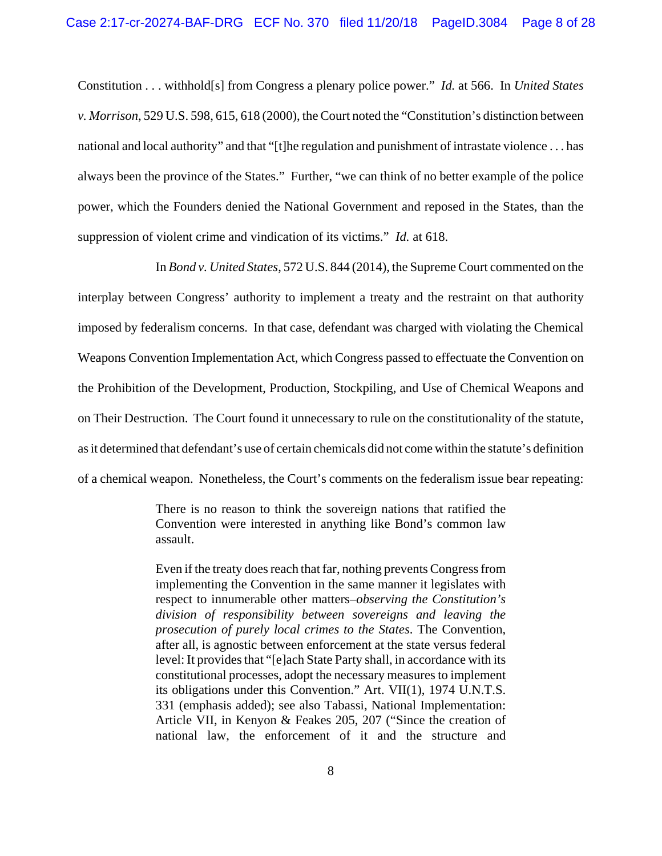Constitution . . . withhold[s] from Congress a plenary police power." *Id.* at 566. In *United States v. Morrison*, 529 U.S. 598, 615, 618 (2000), the Court noted the "Constitution's distinction between national and local authority" and that "[t]he regulation and punishment of intrastate violence . . . has always been the province of the States." Further, "we can think of no better example of the police power, which the Founders denied the National Government and reposed in the States, than the suppression of violent crime and vindication of its victims." *Id.* at 618.

In *Bond v. United States*, 572 U.S. 844 (2014), the Supreme Court commented on the interplay between Congress' authority to implement a treaty and the restraint on that authority imposed by federalism concerns. In that case, defendant was charged with violating the Chemical Weapons Convention Implementation Act, which Congress passed to effectuate the Convention on the Prohibition of the Development, Production, Stockpiling, and Use of Chemical Weapons and on Their Destruction. The Court found it unnecessary to rule on the constitutionality of the statute, as it determined that defendant's use of certain chemicals did not come within the statute's definition of a chemical weapon. Nonetheless, the Court's comments on the federalism issue bear repeating:

> There is no reason to think the sovereign nations that ratified the Convention were interested in anything like Bond's common law assault.

> Even if the treaty does reach that far, nothing prevents Congress from implementing the Convention in the same manner it legislates with respect to innumerable other matters–*observing the Constitution's division of responsibility between sovereigns and leaving the prosecution of purely local crimes to the States*. The Convention, after all, is agnostic between enforcement at the state versus federal level: It provides that "[e]ach State Party shall, in accordance with its constitutional processes, adopt the necessary measures to implement its obligations under this Convention." Art. VII(1), 1974 U.N.T.S. 331 (emphasis added); see also Tabassi, National Implementation: Article VII, in Kenyon & Feakes 205, 207 ("Since the creation of national law, the enforcement of it and the structure and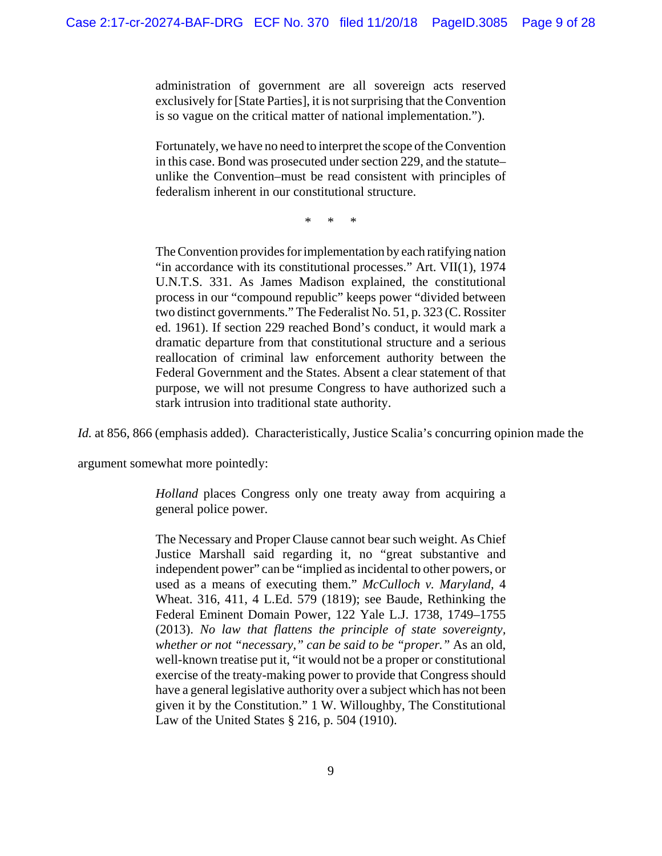administration of government are all sovereign acts reserved exclusively for [State Parties], it is not surprising that the Convention is so vague on the critical matter of national implementation.").

Fortunately, we have no need to interpret the scope of the Convention in this case. Bond was prosecuted under section 229, and the statute– unlike the Convention–must be read consistent with principles of federalism inherent in our constitutional structure.

\* \* \*

The Convention provides for implementation by each ratifying nation "in accordance with its constitutional processes." Art. VII(1), 1974 U.N.T.S. 331. As James Madison explained, the constitutional process in our "compound republic" keeps power "divided between two distinct governments." The Federalist No. 51, p. 323 (C. Rossiter ed. 1961). If section 229 reached Bond's conduct, it would mark a dramatic departure from that constitutional structure and a serious reallocation of criminal law enforcement authority between the Federal Government and the States. Absent a clear statement of that purpose, we will not presume Congress to have authorized such a stark intrusion into traditional state authority.

*Id.* at 856, 866 (emphasis added). Characteristically, Justice Scalia's concurring opinion made the

argument somewhat more pointedly:

*Holland* places Congress only one treaty away from acquiring a general police power.

The Necessary and Proper Clause cannot bear such weight. As Chief Justice Marshall said regarding it, no "great substantive and independent power" can be "implied as incidental to other powers, or used as a means of executing them." *McCulloch v. Maryland*, 4 Wheat. 316, 411, 4 L.Ed. 579 (1819); see Baude, Rethinking the Federal Eminent Domain Power, 122 Yale L.J. 1738, 1749–1755 (2013). *No law that flattens the principle of state sovereignty, whether or not "necessary," can be said to be "proper."* As an old, well-known treatise put it, "it would not be a proper or constitutional exercise of the treaty-making power to provide that Congress should have a general legislative authority over a subject which has not been given it by the Constitution." 1 W. Willoughby, The Constitutional Law of the United States § 216, p. 504 (1910).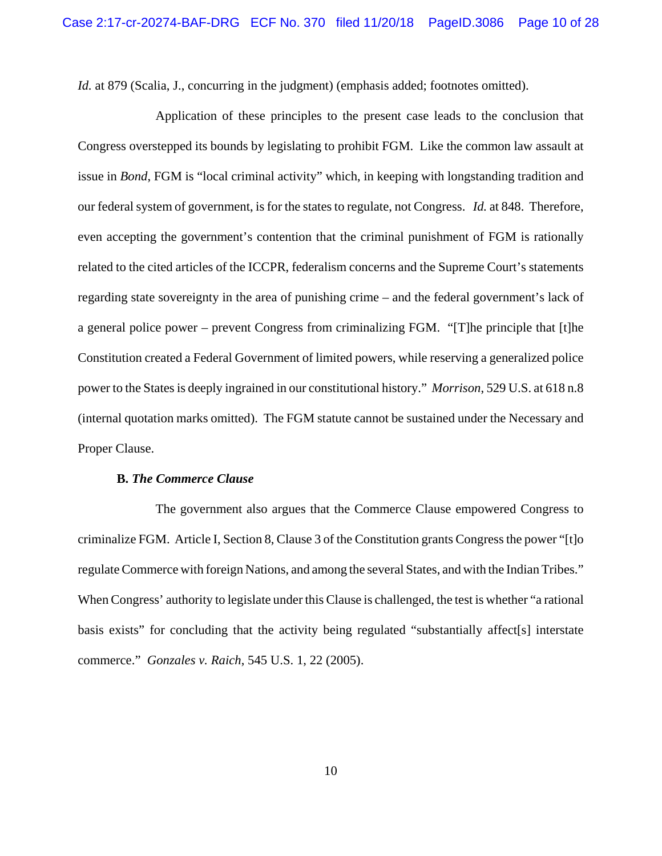*Id.* at 879 (Scalia, J., concurring in the judgment) (emphasis added; footnotes omitted).

Application of these principles to the present case leads to the conclusion that Congress overstepped its bounds by legislating to prohibit FGM. Like the common law assault at issue in *Bond*, FGM is "local criminal activity" which, in keeping with longstanding tradition and our federal system of government, is for the states to regulate, not Congress. *Id.* at 848. Therefore, even accepting the government's contention that the criminal punishment of FGM is rationally related to the cited articles of the ICCPR, federalism concerns and the Supreme Court's statements regarding state sovereignty in the area of punishing crime – and the federal government's lack of a general police power – prevent Congress from criminalizing FGM. "[T]he principle that [t]he Constitution created a Federal Government of limited powers, while reserving a generalized police power to the States is deeply ingrained in our constitutional history." *Morrison*, 529 U.S. at 618 n.8 (internal quotation marks omitted). The FGM statute cannot be sustained under the Necessary and Proper Clause.

#### **B.** *The Commerce Clause*

The government also argues that the Commerce Clause empowered Congress to criminalize FGM. Article I, Section 8, Clause 3 of the Constitution grants Congress the power "[t]o regulate Commerce with foreign Nations, and among the several States, and with the Indian Tribes." When Congress' authority to legislate under this Clause is challenged, the test is whether "a rational basis exists" for concluding that the activity being regulated "substantially affect[s] interstate commerce." *Gonzales v. Raich*, 545 U.S. 1, 22 (2005).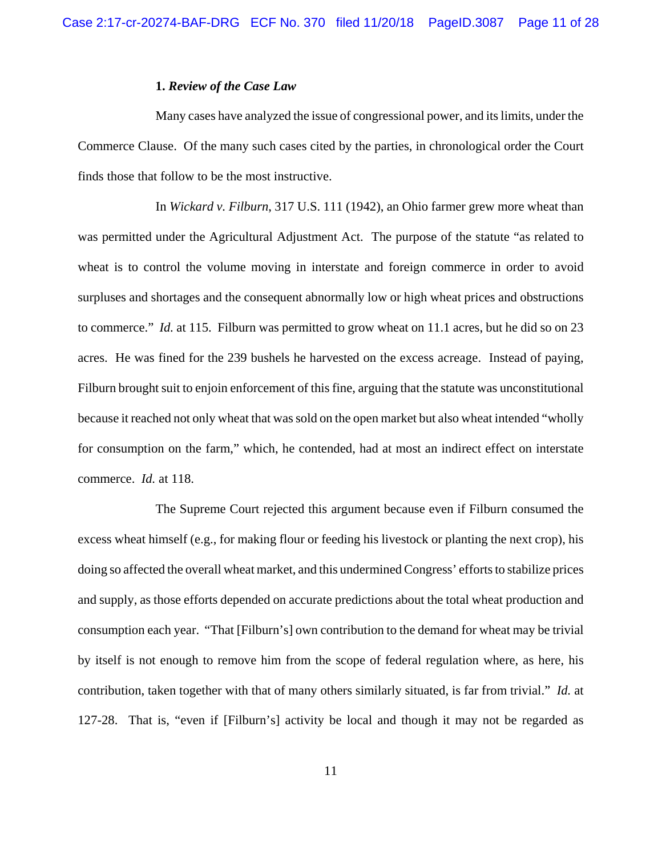# **1.** *Review of the Case Law*

Many cases have analyzed the issue of congressional power, and its limits, under the Commerce Clause. Of the many such cases cited by the parties, in chronological order the Court finds those that follow to be the most instructive.

In *Wickard v. Filburn*, 317 U.S. 111 (1942), an Ohio farmer grew more wheat than was permitted under the Agricultural Adjustment Act. The purpose of the statute "as related to wheat is to control the volume moving in interstate and foreign commerce in order to avoid surpluses and shortages and the consequent abnormally low or high wheat prices and obstructions to commerce." *Id.* at 115. Filburn was permitted to grow wheat on 11.1 acres, but he did so on 23 acres. He was fined for the 239 bushels he harvested on the excess acreage. Instead of paying, Filburn brought suit to enjoin enforcement of this fine, arguing that the statute was unconstitutional because it reached not only wheat that was sold on the open market but also wheat intended "wholly for consumption on the farm," which, he contended, had at most an indirect effect on interstate commerce. *Id.* at 118.

The Supreme Court rejected this argument because even if Filburn consumed the excess wheat himself (e.g., for making flour or feeding his livestock or planting the next crop), his doing so affected the overall wheat market, and this undermined Congress' efforts to stabilize prices and supply, as those efforts depended on accurate predictions about the total wheat production and consumption each year. "That [Filburn's] own contribution to the demand for wheat may be trivial by itself is not enough to remove him from the scope of federal regulation where, as here, his contribution, taken together with that of many others similarly situated, is far from trivial." *Id.* at 127-28. That is, "even if [Filburn's] activity be local and though it may not be regarded as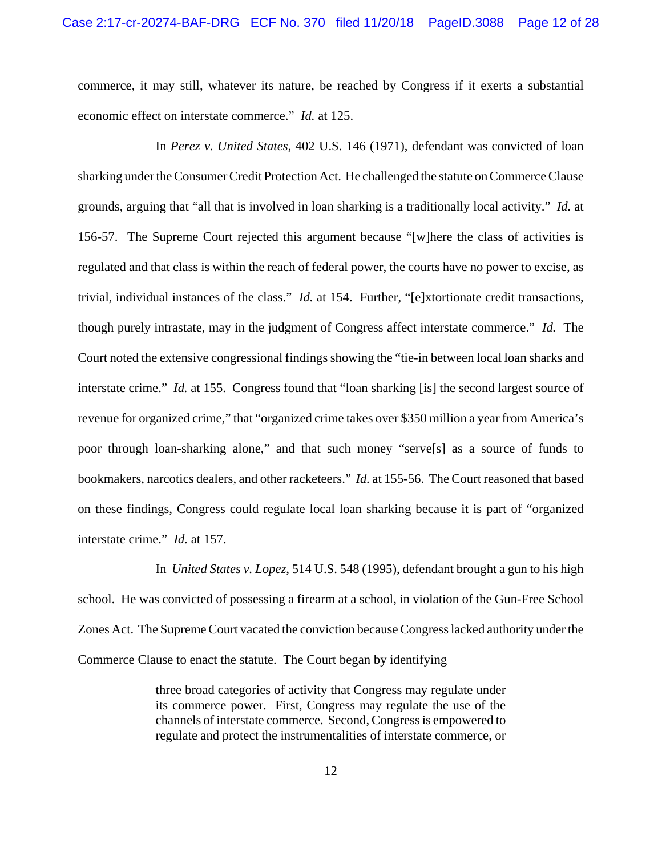commerce, it may still, whatever its nature, be reached by Congress if it exerts a substantial economic effect on interstate commerce." *Id.* at 125.

In *Perez v. United States*, 402 U.S. 146 (1971), defendant was convicted of loan sharking under the Consumer Credit Protection Act. He challenged the statute on Commerce Clause grounds, arguing that "all that is involved in loan sharking is a traditionally local activity." *Id.* at 156-57. The Supreme Court rejected this argument because "[w]here the class of activities is regulated and that class is within the reach of federal power, the courts have no power to excise, as trivial, individual instances of the class." *Id.* at 154. Further, "[e]xtortionate credit transactions, though purely intrastate, may in the judgment of Congress affect interstate commerce." *Id.* The Court noted the extensive congressional findings showing the "tie-in between local loan sharks and interstate crime." *Id.* at 155. Congress found that "loan sharking [is] the second largest source of revenue for organized crime," that "organized crime takes over \$350 million a year from America's poor through loan-sharking alone," and that such money "serve[s] as a source of funds to bookmakers, narcotics dealers, and other racketeers." *Id.* at 155-56. The Court reasoned that based on these findings, Congress could regulate local loan sharking because it is part of "organized interstate crime." *Id.* at 157.

In *United States v. Lopez*, 514 U.S. 548 (1995), defendant brought a gun to his high school. He was convicted of possessing a firearm at a school, in violation of the Gun-Free School Zones Act. The Supreme Court vacated the conviction because Congress lacked authority under the Commerce Clause to enact the statute. The Court began by identifying

> three broad categories of activity that Congress may regulate under its commerce power. First, Congress may regulate the use of the channels of interstate commerce. Second, Congress is empowered to regulate and protect the instrumentalities of interstate commerce, or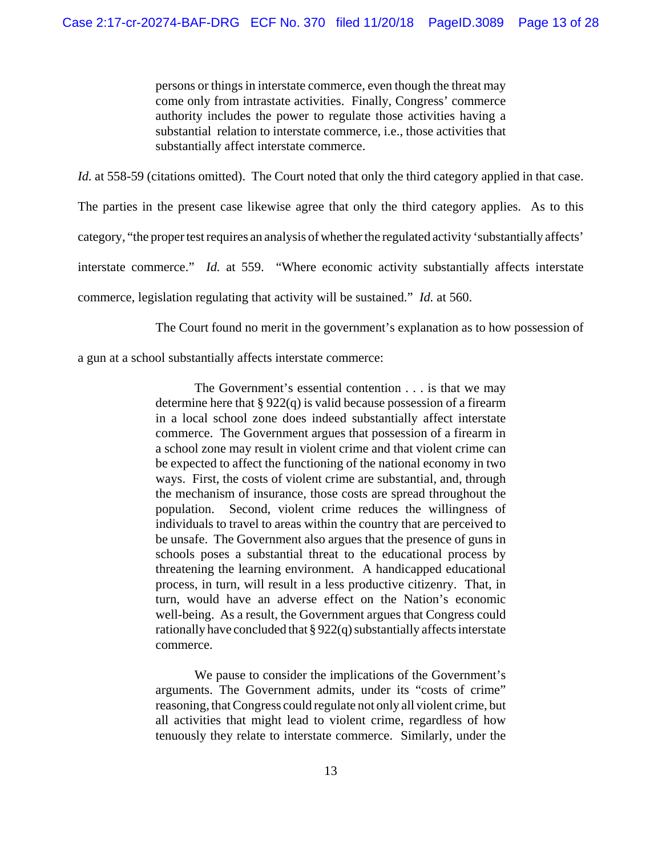persons or things in interstate commerce, even though the threat may come only from intrastate activities. Finally, Congress' commerce authority includes the power to regulate those activities having a substantial relation to interstate commerce, i.e., those activities that substantially affect interstate commerce.

*Id.* at 558-59 (citations omitted). The Court noted that only the third category applied in that case.

The parties in the present case likewise agree that only the third category applies. As to this

category, "the proper test requires an analysis of whether the regulated activity 'substantially affects'

interstate commerce." *Id.* at 559. "Where economic activity substantially affects interstate

commerce, legislation regulating that activity will be sustained." *Id.* at 560.

The Court found no merit in the government's explanation as to how possession of

a gun at a school substantially affects interstate commerce:

The Government's essential contention . . . is that we may determine here that  $\S 922(q)$  is valid because possession of a firearm in a local school zone does indeed substantially affect interstate commerce. The Government argues that possession of a firearm in a school zone may result in violent crime and that violent crime can be expected to affect the functioning of the national economy in two ways. First, the costs of violent crime are substantial, and, through the mechanism of insurance, those costs are spread throughout the population. Second, violent crime reduces the willingness of individuals to travel to areas within the country that are perceived to be unsafe. The Government also argues that the presence of guns in schools poses a substantial threat to the educational process by threatening the learning environment. A handicapped educational process, in turn, will result in a less productive citizenry. That, in turn, would have an adverse effect on the Nation's economic well-being. As a result, the Government argues that Congress could rationally have concluded that § 922(q) substantially affects interstate commerce.

We pause to consider the implications of the Government's arguments. The Government admits, under its "costs of crime" reasoning, that Congress could regulate not only all violent crime, but all activities that might lead to violent crime, regardless of how tenuously they relate to interstate commerce. Similarly, under the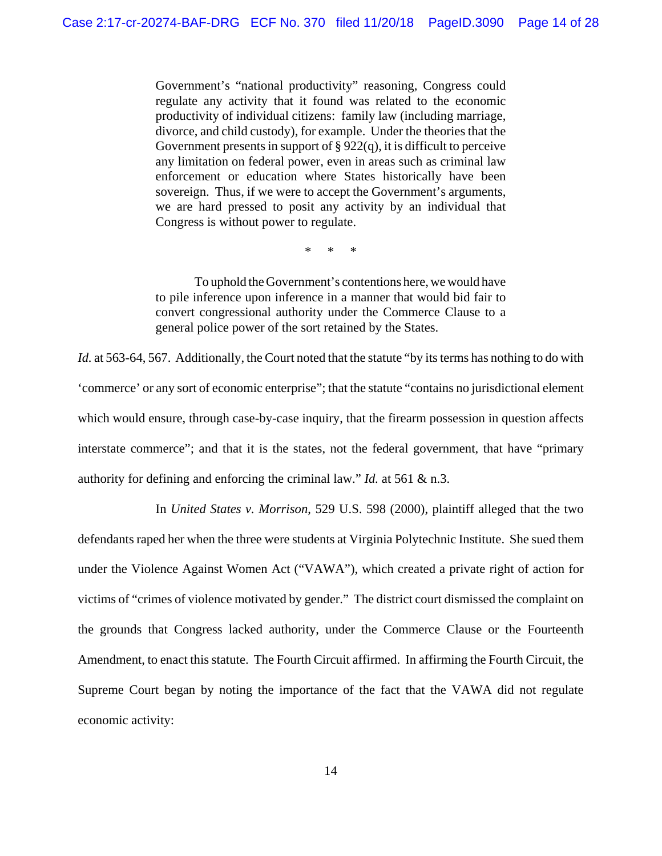Government's "national productivity" reasoning, Congress could regulate any activity that it found was related to the economic productivity of individual citizens: family law (including marriage, divorce, and child custody), for example. Under the theories that the Government presents in support of  $\S 922(q)$ , it is difficult to perceive any limitation on federal power, even in areas such as criminal law enforcement or education where States historically have been sovereign. Thus, if we were to accept the Government's arguments, we are hard pressed to posit any activity by an individual that Congress is without power to regulate.

\* \* \*

To uphold the Government's contentions here, we would have to pile inference upon inference in a manner that would bid fair to convert congressional authority under the Commerce Clause to a general police power of the sort retained by the States.

*Id.* at 563-64, 567. Additionally, the Court noted that the statute "by its terms has nothing to do with 'commerce' or any sort of economic enterprise"; that the statute "contains no jurisdictional element which would ensure, through case-by-case inquiry, that the firearm possession in question affects interstate commerce"; and that it is the states, not the federal government, that have "primary authority for defining and enforcing the criminal law." *Id.* at 561 & n.3.

In *United States v. Morrison*, 529 U.S. 598 (2000), plaintiff alleged that the two defendants raped her when the three were students at Virginia Polytechnic Institute. She sued them under the Violence Against Women Act ("VAWA"), which created a private right of action for victims of "crimes of violence motivated by gender." The district court dismissed the complaint on the grounds that Congress lacked authority, under the Commerce Clause or the Fourteenth Amendment, to enact this statute. The Fourth Circuit affirmed. In affirming the Fourth Circuit, the Supreme Court began by noting the importance of the fact that the VAWA did not regulate economic activity: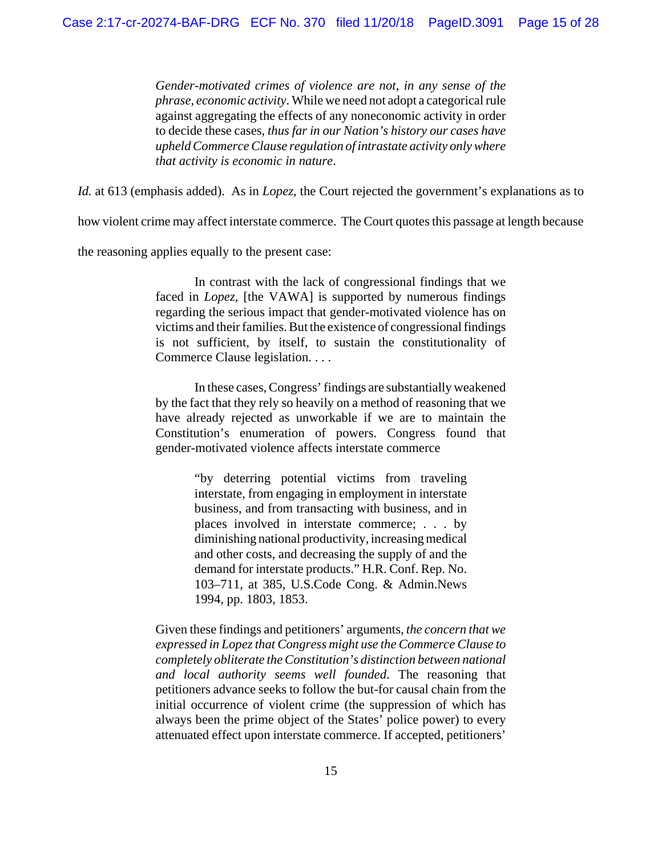*Gender-motivated crimes of violence are not, in any sense of the phrase, economic activity*. While we need not adopt a categorical rule against aggregating the effects of any noneconomic activity in order to decide these cases, *thus far in our Nation's history our cases have upheld Commerce Clause regulation of intrastate activity only where that activity is economic in nature*.

*Id.* at 613 (emphasis added). As in *Lopez*, the Court rejected the government's explanations as to

how violent crime may affect interstate commerce. The Court quotes this passage at length because

the reasoning applies equally to the present case:

In contrast with the lack of congressional findings that we faced in *Lopez*, [the VAWA] is supported by numerous findings regarding the serious impact that gender-motivated violence has on victims and their families. But the existence of congressional findings is not sufficient, by itself, to sustain the constitutionality of Commerce Clause legislation. . . .

In these cases, Congress' findings are substantially weakened by the fact that they rely so heavily on a method of reasoning that we have already rejected as unworkable if we are to maintain the Constitution's enumeration of powers. Congress found that gender-motivated violence affects interstate commerce

> "by deterring potential victims from traveling interstate, from engaging in employment in interstate business, and from transacting with business, and in places involved in interstate commerce; . . . by diminishing national productivity, increasing medical and other costs, and decreasing the supply of and the demand for interstate products." H.R. Conf. Rep. No. 103–711, at 385, U.S.Code Cong. & Admin.News 1994, pp. 1803, 1853.

Given these findings and petitioners' arguments, *the concern that we expressed in Lopez that Congress might use the Commerce Clause to completely obliterate the Constitution's distinction between national and local authority seems well founded*. The reasoning that petitioners advance seeks to follow the but-for causal chain from the initial occurrence of violent crime (the suppression of which has always been the prime object of the States' police power) to every attenuated effect upon interstate commerce. If accepted, petitioners'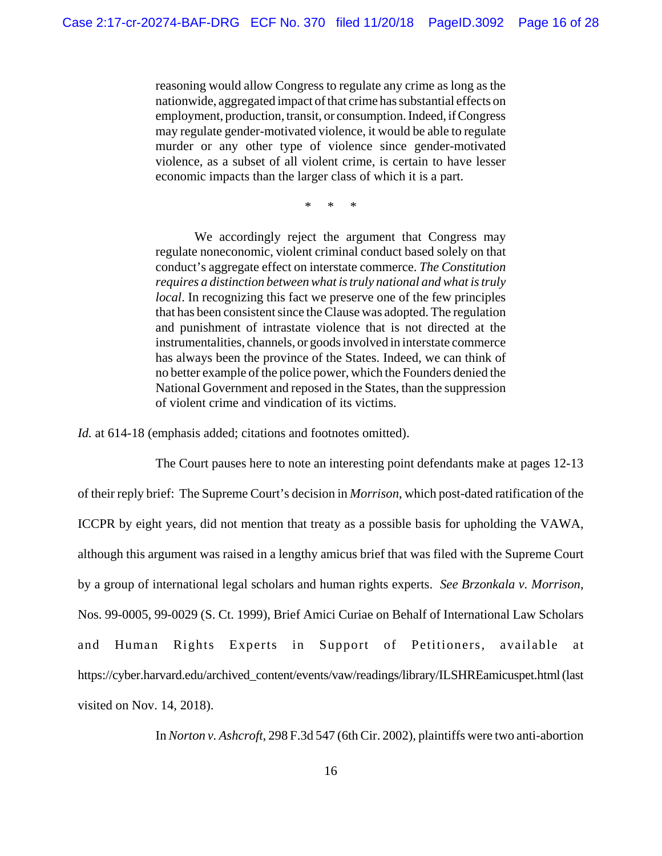reasoning would allow Congress to regulate any crime as long as the nationwide, aggregated impact of that crime has substantial effects on employment, production, transit, or consumption. Indeed, if Congress may regulate gender-motivated violence, it would be able to regulate murder or any other type of violence since gender-motivated violence, as a subset of all violent crime, is certain to have lesser economic impacts than the larger class of which it is a part.

\* \* \*

We accordingly reject the argument that Congress may regulate noneconomic, violent criminal conduct based solely on that conduct's aggregate effect on interstate commerce. *The Constitution requires a distinction between what is truly national and what is truly local*. In recognizing this fact we preserve one of the few principles that has been consistent since the Clause was adopted. The regulation and punishment of intrastate violence that is not directed at the instrumentalities, channels, or goods involved in interstate commerce has always been the province of the States. Indeed, we can think of no better example of the police power, which the Founders denied the National Government and reposed in the States, than the suppression of violent crime and vindication of its victims.

*Id.* at 614-18 (emphasis added; citations and footnotes omitted).

The Court pauses here to note an interesting point defendants make at pages 12-13 of their reply brief: The Supreme Court's decision in *Morrison*, which post-dated ratification of the ICCPR by eight years, did not mention that treaty as a possible basis for upholding the VAWA, although this argument was raised in a lengthy amicus brief that was filed with the Supreme Court by a group of international legal scholars and human rights experts. *See Brzonkala v. Morrison*, Nos. 99-0005, 99-0029 (S. Ct. 1999), Brief Amici Curiae on Behalf of International Law Scholars and Human Rights Experts in Support of Petitioners, available at https://cyber.harvard.edu/archived\_content/events/vaw/readings/library/ILSHREamicuspet.html (last visited on Nov. 14, 2018).

In *Norton v. Ashcroft*, 298 F.3d 547 (6th Cir. 2002), plaintiffs were two anti-abortion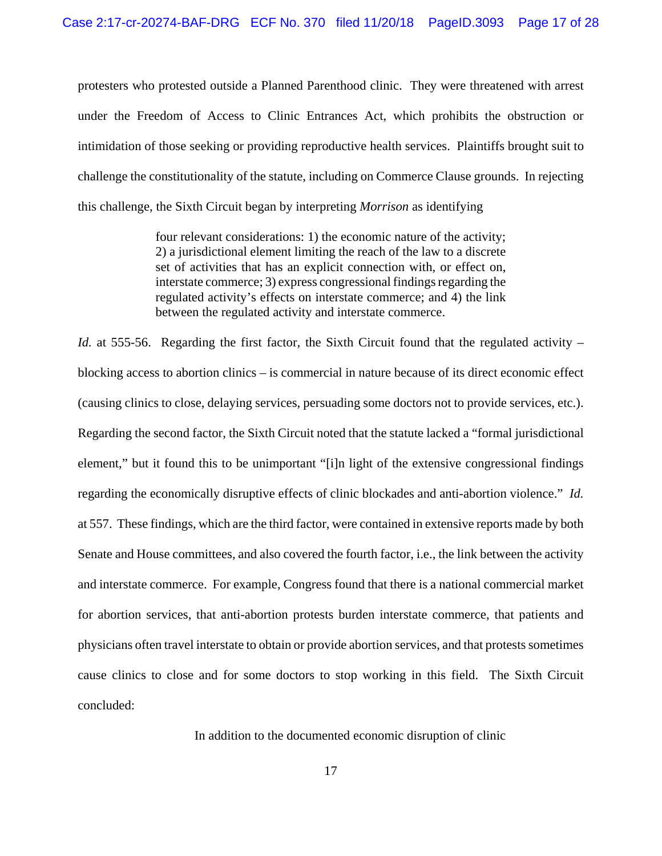protesters who protested outside a Planned Parenthood clinic. They were threatened with arrest under the Freedom of Access to Clinic Entrances Act, which prohibits the obstruction or intimidation of those seeking or providing reproductive health services. Plaintiffs brought suit to challenge the constitutionality of the statute, including on Commerce Clause grounds. In rejecting this challenge, the Sixth Circuit began by interpreting *Morrison* as identifying

> four relevant considerations: 1) the economic nature of the activity; 2) a jurisdictional element limiting the reach of the law to a discrete set of activities that has an explicit connection with, or effect on, interstate commerce; 3) express congressional findings regarding the regulated activity's effects on interstate commerce; and 4) the link between the regulated activity and interstate commerce.

*Id.* at 555-56. Regarding the first factor, the Sixth Circuit found that the regulated activity – blocking access to abortion clinics – is commercial in nature because of its direct economic effect (causing clinics to close, delaying services, persuading some doctors not to provide services, etc.). Regarding the second factor, the Sixth Circuit noted that the statute lacked a "formal jurisdictional element," but it found this to be unimportant "[i]n light of the extensive congressional findings regarding the economically disruptive effects of clinic blockades and anti-abortion violence." *Id.* at 557. These findings, which are the third factor, were contained in extensive reports made by both Senate and House committees, and also covered the fourth factor, i.e., the link between the activity and interstate commerce. For example, Congress found that there is a national commercial market for abortion services, that anti-abortion protests burden interstate commerce, that patients and physicians often travel interstate to obtain or provide abortion services, and that protests sometimes cause clinics to close and for some doctors to stop working in this field. The Sixth Circuit concluded:

In addition to the documented economic disruption of clinic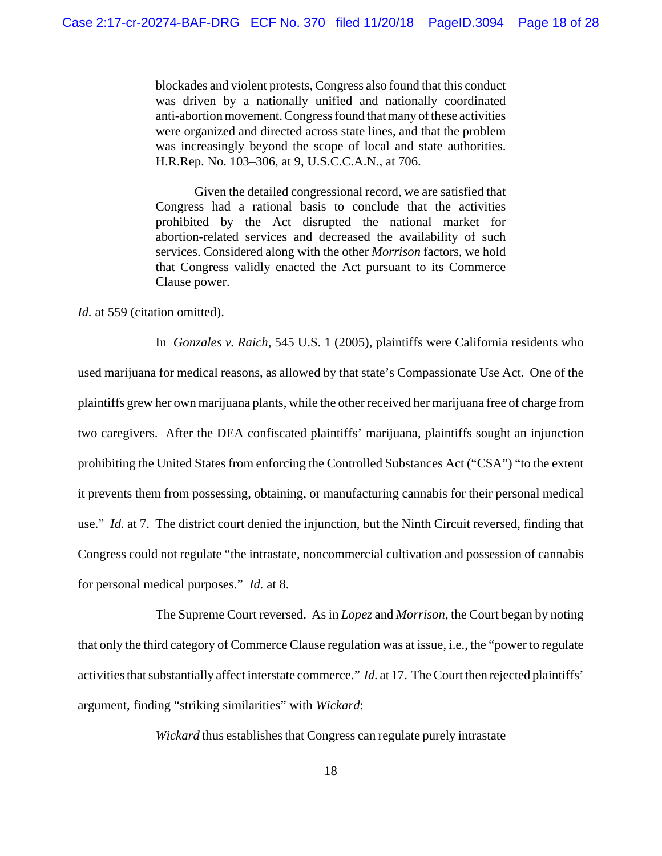blockades and violent protests, Congress also found that this conduct was driven by a nationally unified and nationally coordinated anti-abortion movement. Congress found that many of these activities were organized and directed across state lines, and that the problem was increasingly beyond the scope of local and state authorities. H.R.Rep. No. 103–306, at 9, U.S.C.C.A.N., at 706.

Given the detailed congressional record, we are satisfied that Congress had a rational basis to conclude that the activities prohibited by the Act disrupted the national market for abortion-related services and decreased the availability of such services. Considered along with the other *Morrison* factors, we hold that Congress validly enacted the Act pursuant to its Commerce Clause power.

*Id.* at 559 (citation omitted).

In *Gonzales v. Raich*, 545 U.S. 1 (2005), plaintiffs were California residents who used marijuana for medical reasons, as allowed by that state's Compassionate Use Act. One of the plaintiffs grew her own marijuana plants, while the other received her marijuana free of charge from two caregivers. After the DEA confiscated plaintiffs' marijuana, plaintiffs sought an injunction prohibiting the United States from enforcing the Controlled Substances Act ("CSA") "to the extent it prevents them from possessing, obtaining, or manufacturing cannabis for their personal medical use." *Id.* at 7. The district court denied the injunction, but the Ninth Circuit reversed, finding that Congress could not regulate "the intrastate, noncommercial cultivation and possession of cannabis for personal medical purposes." *Id.* at 8.

The Supreme Court reversed. As in *Lopez* and *Morrison*, the Court began by noting that only the third category of Commerce Clause regulation was at issue, i.e., the "power to regulate activities that substantially affect interstate commerce." *Id.* at 17. The Court then rejected plaintiffs' argument, finding "striking similarities" with *Wickard*:

*Wickard* thus establishes that Congress can regulate purely intrastate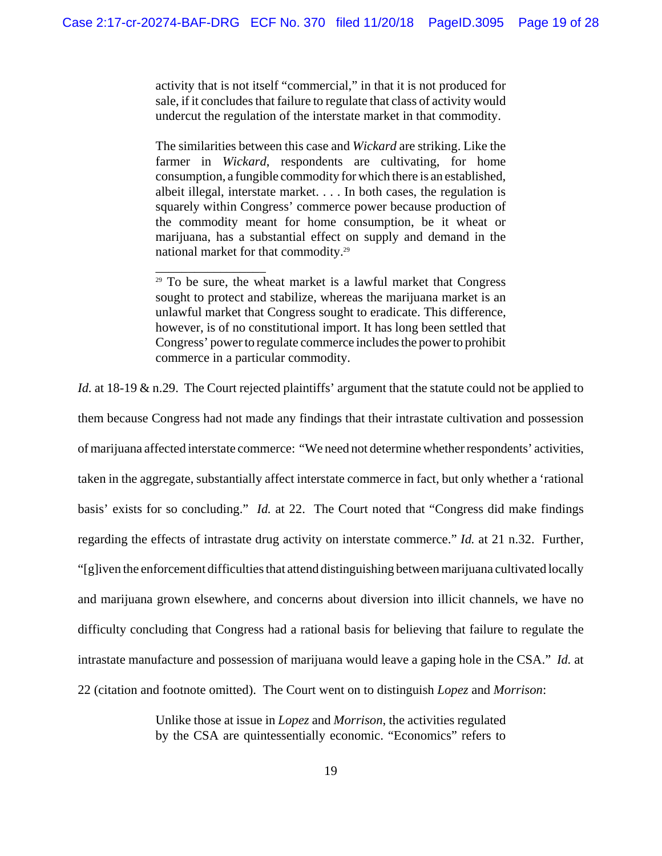activity that is not itself "commercial," in that it is not produced for sale, if it concludes that failure to regulate that class of activity would undercut the regulation of the interstate market in that commodity.

The similarities between this case and *Wickard* are striking. Like the farmer in *Wickard*, respondents are cultivating, for home consumption, a fungible commodity for which there is an established, albeit illegal, interstate market. . . . In both cases, the regulation is squarely within Congress' commerce power because production of the commodity meant for home consumption, be it wheat or marijuana, has a substantial effect on supply and demand in the national market for that commodity.29

\_\_\_\_\_\_\_\_\_\_\_\_\_\_\_\_\_

*Id.* at 18-19 & n.29. The Court rejected plaintiffs' argument that the statute could not be applied to them because Congress had not made any findings that their intrastate cultivation and possession of marijuana affected interstate commerce: "We need not determine whether respondents' activities, taken in the aggregate, substantially affect interstate commerce in fact, but only whether a 'rational basis' exists for so concluding." *Id.* at 22. The Court noted that "Congress did make findings regarding the effects of intrastate drug activity on interstate commerce." *Id.* at 21 n.32. Further, "[g]iven the enforcement difficulties that attend distinguishing between marijuana cultivated locally and marijuana grown elsewhere, and concerns about diversion into illicit channels, we have no difficulty concluding that Congress had a rational basis for believing that failure to regulate the intrastate manufacture and possession of marijuana would leave a gaping hole in the CSA." *Id.* at 22 (citation and footnote omitted). The Court went on to distinguish *Lopez* and *Morrison*:

> Unlike those at issue in *Lopez* and *Morrison*, the activities regulated by the CSA are quintessentially economic. "Economics" refers to

 $29$  To be sure, the wheat market is a lawful market that Congress sought to protect and stabilize, whereas the marijuana market is an unlawful market that Congress sought to eradicate. This difference, however, is of no constitutional import. It has long been settled that Congress' power to regulate commerce includes the power to prohibit commerce in a particular commodity.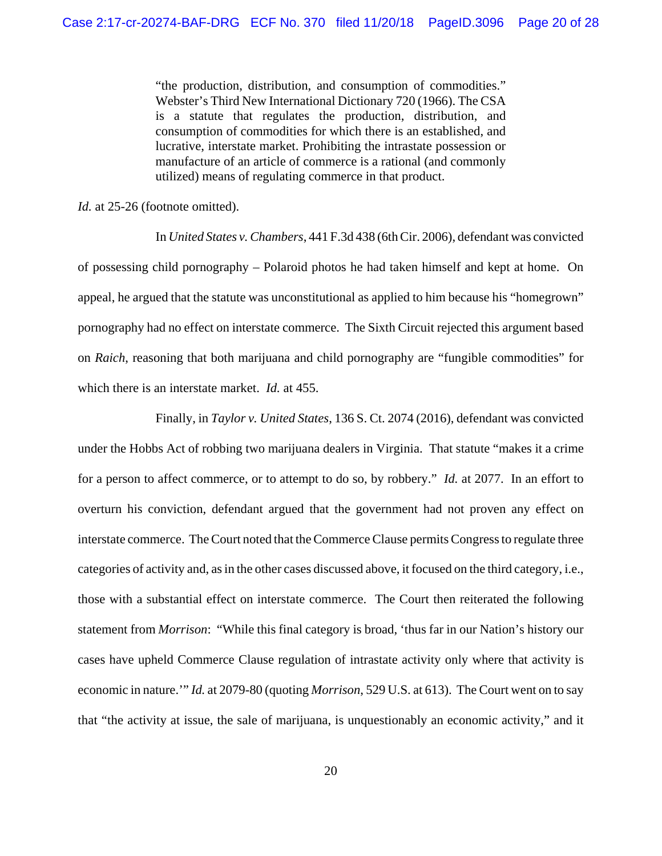"the production, distribution, and consumption of commodities." Webster's Third New International Dictionary 720 (1966). The CSA is a statute that regulates the production, distribution, and consumption of commodities for which there is an established, and lucrative, interstate market. Prohibiting the intrastate possession or manufacture of an article of commerce is a rational (and commonly utilized) means of regulating commerce in that product.

*Id.* at 25-26 (footnote omitted).

In *United States v. Chambers*, 441 F.3d 438 (6th Cir. 2006), defendant was convicted of possessing child pornography – Polaroid photos he had taken himself and kept at home. On appeal, he argued that the statute was unconstitutional as applied to him because his "homegrown" pornography had no effect on interstate commerce. The Sixth Circuit rejected this argument based on *Raich*, reasoning that both marijuana and child pornography are "fungible commodities" for which there is an interstate market. *Id.* at 455.

Finally, in *Taylor v. United States*, 136 S. Ct. 2074 (2016), defendant was convicted under the Hobbs Act of robbing two marijuana dealers in Virginia. That statute "makes it a crime for a person to affect commerce, or to attempt to do so, by robbery." *Id.* at 2077. In an effort to overturn his conviction, defendant argued that the government had not proven any effect on interstate commerce. The Court noted that the Commerce Clause permits Congress to regulate three categories of activity and, as in the other cases discussed above, it focused on the third category, i.e., those with a substantial effect on interstate commerce. The Court then reiterated the following statement from *Morrison*: "While this final category is broad, 'thus far in our Nation's history our cases have upheld Commerce Clause regulation of intrastate activity only where that activity is economic in nature.'" *Id.* at 2079-80 (quoting *Morrison*, 529 U.S. at 613). The Court went on to say that "the activity at issue, the sale of marijuana, is unquestionably an economic activity," and it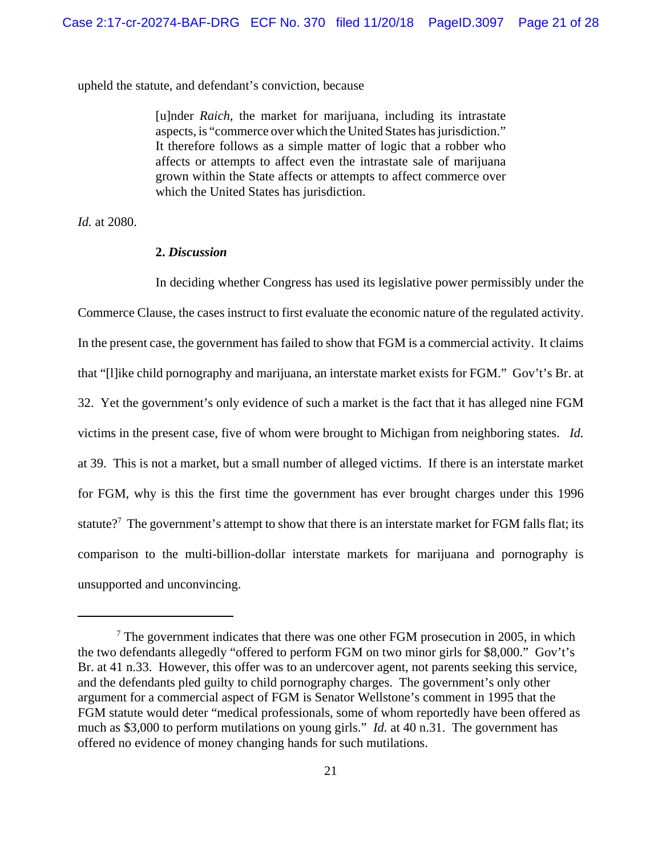upheld the statute, and defendant's conviction, because

[u]nder *Raich*, the market for marijuana, including its intrastate aspects, is "commerce over which the United States has jurisdiction." It therefore follows as a simple matter of logic that a robber who affects or attempts to affect even the intrastate sale of marijuana grown within the State affects or attempts to affect commerce over which the United States has jurisdiction.

*Id.* at 2080.

### **2.** *Discussion*

In deciding whether Congress has used its legislative power permissibly under the Commerce Clause, the cases instruct to first evaluate the economic nature of the regulated activity. In the present case, the government has failed to show that FGM is a commercial activity. It claims that "[l]ike child pornography and marijuana, an interstate market exists for FGM." Gov't's Br. at 32. Yet the government's only evidence of such a market is the fact that it has alleged nine FGM victims in the present case, five of whom were brought to Michigan from neighboring states. *Id.* at 39. This is not a market, but a small number of alleged victims. If there is an interstate market for FGM, why is this the first time the government has ever brought charges under this 1996 statute?<sup>7</sup> The government's attempt to show that there is an interstate market for FGM falls flat; its comparison to the multi-billion-dollar interstate markets for marijuana and pornography is unsupported and unconvincing.

 $7$  The government indicates that there was one other FGM prosecution in 2005, in which the two defendants allegedly "offered to perform FGM on two minor girls for \$8,000." Gov't's Br. at 41 n.33. However, this offer was to an undercover agent, not parents seeking this service, and the defendants pled guilty to child pornography charges. The government's only other argument for a commercial aspect of FGM is Senator Wellstone's comment in 1995 that the FGM statute would deter "medical professionals, some of whom reportedly have been offered as much as \$3,000 to perform mutilations on young girls." *Id.* at 40 n.31. The government has offered no evidence of money changing hands for such mutilations.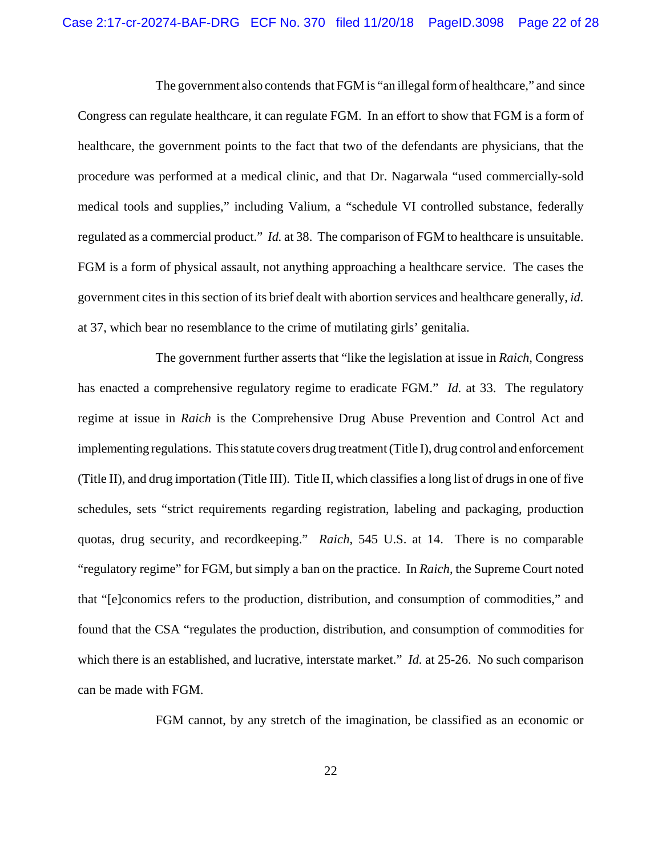The government also contends that FGM is "an illegal form of healthcare," and since Congress can regulate healthcare, it can regulate FGM. In an effort to show that FGM is a form of healthcare, the government points to the fact that two of the defendants are physicians, that the procedure was performed at a medical clinic, and that Dr. Nagarwala "used commercially-sold medical tools and supplies," including Valium, a "schedule VI controlled substance, federally regulated as a commercial product." *Id.* at 38. The comparison of FGM to healthcare is unsuitable. FGM is a form of physical assault, not anything approaching a healthcare service. The cases the government cites in this section of its brief dealt with abortion services and healthcare generally, *id.* at 37, which bear no resemblance to the crime of mutilating girls' genitalia.

The government further asserts that "like the legislation at issue in *Raich*, Congress has enacted a comprehensive regulatory regime to eradicate FGM." *Id.* at 33. The regulatory regime at issue in *Raich* is the Comprehensive Drug Abuse Prevention and Control Act and implementing regulations. This statute covers drug treatment (Title I), drug control and enforcement (Title II), and drug importation (Title III). Title II, which classifies a long list of drugs in one of five schedules, sets "strict requirements regarding registration, labeling and packaging, production quotas, drug security, and recordkeeping." *Raich*, 545 U.S. at 14. There is no comparable "regulatory regime" for FGM, but simply a ban on the practice. In *Raich*, the Supreme Court noted that "[e]conomics refers to the production, distribution, and consumption of commodities," and found that the CSA "regulates the production, distribution, and consumption of commodities for which there is an established, and lucrative, interstate market." *Id.* at 25-26. No such comparison can be made with FGM.

FGM cannot, by any stretch of the imagination, be classified as an economic or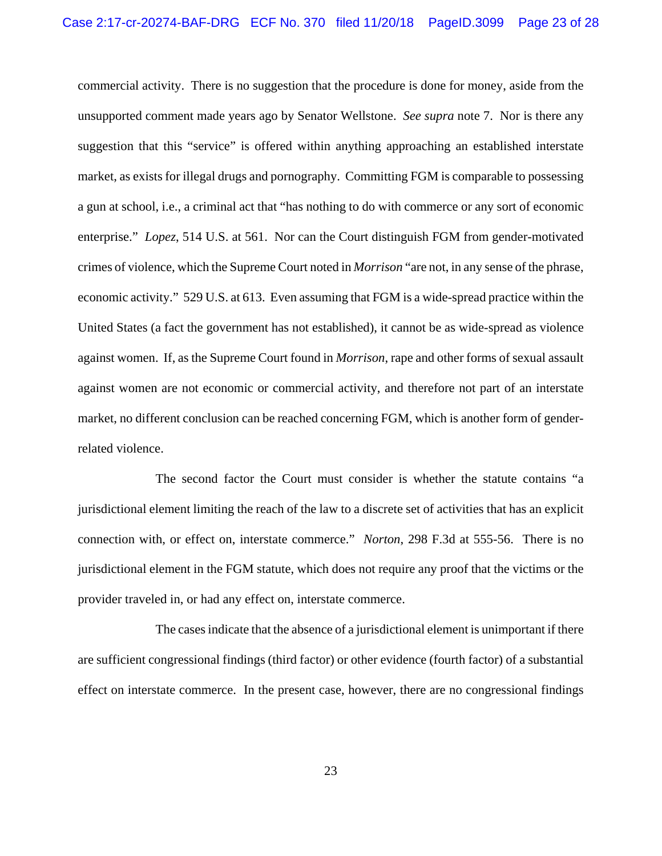commercial activity. There is no suggestion that the procedure is done for money, aside from the unsupported comment made years ago by Senator Wellstone. *See supra* note 7. Nor is there any suggestion that this "service" is offered within anything approaching an established interstate market, as exists for illegal drugs and pornography. Committing FGM is comparable to possessing a gun at school, i.e., a criminal act that "has nothing to do with commerce or any sort of economic enterprise." *Lopez*, 514 U.S. at 561. Nor can the Court distinguish FGM from gender-motivated crimes of violence, which the Supreme Court noted in *Morrison* "are not, in any sense of the phrase, economic activity." 529 U.S. at 613. Even assuming that FGM is a wide-spread practice within the United States (a fact the government has not established), it cannot be as wide-spread as violence against women. If, as the Supreme Court found in *Morrison*, rape and other forms of sexual assault against women are not economic or commercial activity, and therefore not part of an interstate market, no different conclusion can be reached concerning FGM, which is another form of genderrelated violence.

The second factor the Court must consider is whether the statute contains "a jurisdictional element limiting the reach of the law to a discrete set of activities that has an explicit connection with, or effect on, interstate commerce." *Norton*, 298 F.3d at 555-56. There is no jurisdictional element in the FGM statute, which does not require any proof that the victims or the provider traveled in, or had any effect on, interstate commerce.

The cases indicate that the absence of a jurisdictional element is unimportant if there are sufficient congressional findings (third factor) or other evidence (fourth factor) of a substantial effect on interstate commerce. In the present case, however, there are no congressional findings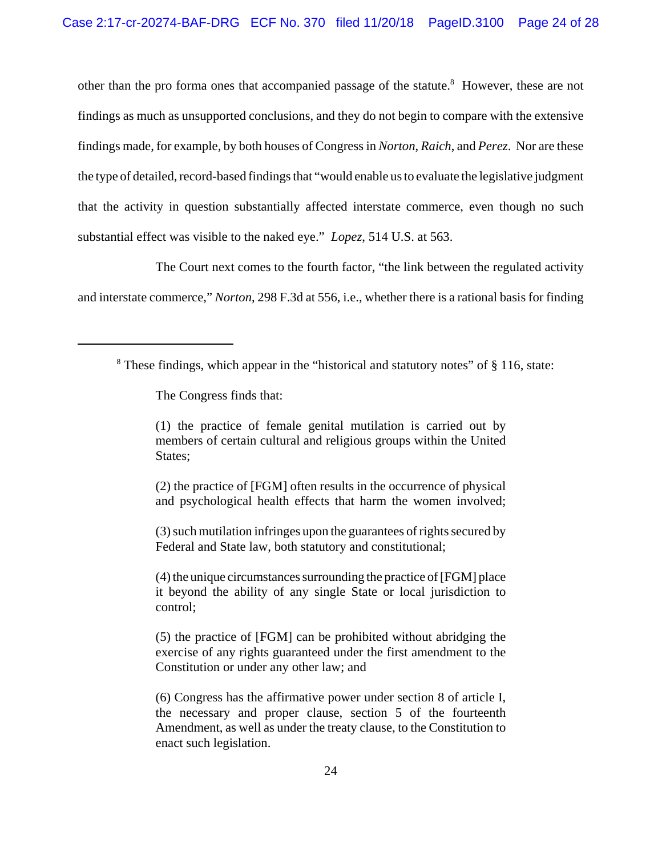other than the pro forma ones that accompanied passage of the statute.<sup>8</sup> However, these are not findings as much as unsupported conclusions, and they do not begin to compare with the extensive findings made, for example, by both houses of Congress in *Norton*, *Raich*, and *Perez*. Nor are these the type of detailed, record-based findings that "would enable us to evaluate the legislative judgment that the activity in question substantially affected interstate commerce, even though no such substantial effect was visible to the naked eye." *Lopez*, 514 U.S. at 563.

The Court next comes to the fourth factor, "the link between the regulated activity and interstate commerce," *Norton*, 298 F.3d at 556, i.e., whether there is a rational basis for finding

The Congress finds that:

(1) the practice of female genital mutilation is carried out by members of certain cultural and religious groups within the United States;

(2) the practice of [FGM] often results in the occurrence of physical and psychological health effects that harm the women involved;

(3) such mutilation infringes upon the guarantees of rights secured by Federal and State law, both statutory and constitutional;

(4) the unique circumstances surrounding the practice of [FGM] place it beyond the ability of any single State or local jurisdiction to control;

(5) the practice of [FGM] can be prohibited without abridging the exercise of any rights guaranteed under the first amendment to the Constitution or under any other law; and

(6) Congress has the affirmative power under section 8 of article I, the necessary and proper clause, section 5 of the fourteenth Amendment, as well as under the treaty clause, to the Constitution to enact such legislation.

 $8$  These findings, which appear in the "historical and statutory notes" of  $\S$  116, state: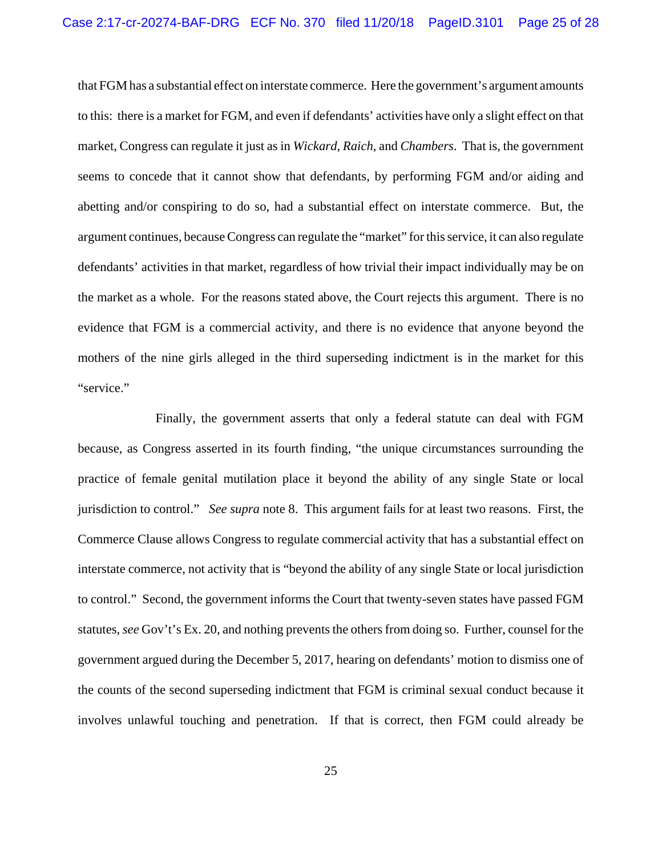that FGM has a substantial effect on interstate commerce. Here the government's argument amounts to this: there is a market for FGM, and even if defendants' activities have only a slight effect on that market, Congress can regulate it just as in *Wickard*, *Raich*, and *Chambers*. That is, the government seems to concede that it cannot show that defendants, by performing FGM and/or aiding and abetting and/or conspiring to do so, had a substantial effect on interstate commerce. But, the argument continues, because Congress can regulate the "market" for this service, it can also regulate defendants' activities in that market, regardless of how trivial their impact individually may be on the market as a whole. For the reasons stated above, the Court rejects this argument. There is no evidence that FGM is a commercial activity, and there is no evidence that anyone beyond the mothers of the nine girls alleged in the third superseding indictment is in the market for this "service."

Finally, the government asserts that only a federal statute can deal with FGM because, as Congress asserted in its fourth finding, "the unique circumstances surrounding the practice of female genital mutilation place it beyond the ability of any single State or local jurisdiction to control." *See supra* note 8. This argument fails for at least two reasons. First, the Commerce Clause allows Congress to regulate commercial activity that has a substantial effect on interstate commerce, not activity that is "beyond the ability of any single State or local jurisdiction to control." Second, the government informs the Court that twenty-seven states have passed FGM statutes, *see* Gov't's Ex. 20, and nothing prevents the others from doing so. Further, counsel for the government argued during the December 5, 2017, hearing on defendants' motion to dismiss one of the counts of the second superseding indictment that FGM is criminal sexual conduct because it involves unlawful touching and penetration. If that is correct, then FGM could already be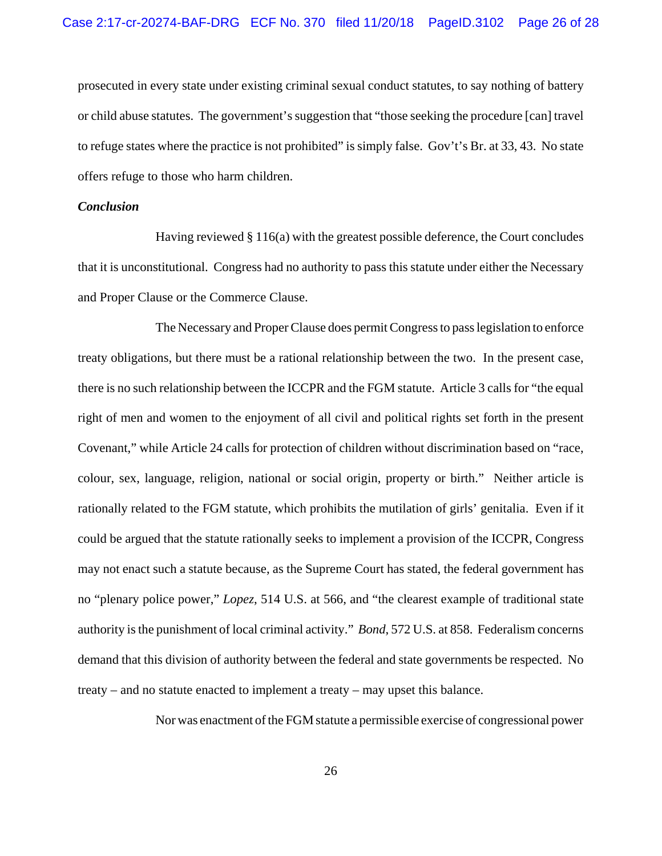prosecuted in every state under existing criminal sexual conduct statutes, to say nothing of battery or child abuse statutes. The government's suggestion that "those seeking the procedure [can] travel to refuge states where the practice is not prohibited" is simply false. Gov't's Br. at 33, 43. No state offers refuge to those who harm children.

# *Conclusion*

Having reviewed  $\S 116(a)$  with the greatest possible deference, the Court concludes that it is unconstitutional. Congress had no authority to pass this statute under either the Necessary and Proper Clause or the Commerce Clause.

The Necessary and Proper Clause does permit Congress to pass legislation to enforce treaty obligations, but there must be a rational relationship between the two. In the present case, there is no such relationship between the ICCPR and the FGM statute. Article 3 calls for "the equal right of men and women to the enjoyment of all civil and political rights set forth in the present Covenant," while Article 24 calls for protection of children without discrimination based on "race, colour, sex, language, religion, national or social origin, property or birth." Neither article is rationally related to the FGM statute, which prohibits the mutilation of girls' genitalia. Even if it could be argued that the statute rationally seeks to implement a provision of the ICCPR, Congress may not enact such a statute because, as the Supreme Court has stated, the federal government has no "plenary police power," *Lopez*, 514 U.S. at 566, and "the clearest example of traditional state authority is the punishment of local criminal activity." *Bond*, 572 U.S. at 858. Federalism concerns demand that this division of authority between the federal and state governments be respected. No treaty – and no statute enacted to implement a treaty – may upset this balance.

Nor was enactment of the FGM statute a permissible exercise of congressional power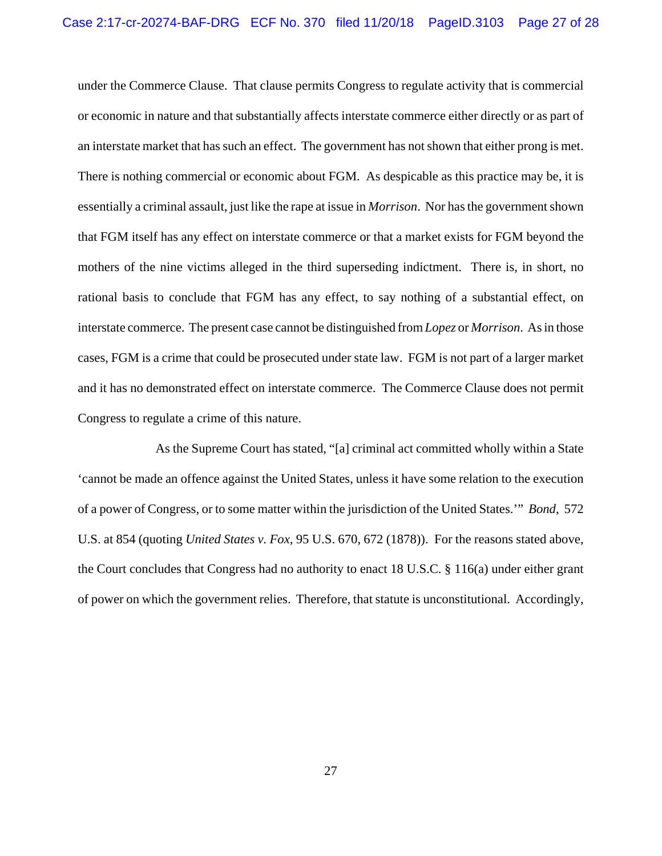under the Commerce Clause. That clause permits Congress to regulate activity that is commercial or economic in nature and that substantially affects interstate commerce either directly or as part of an interstate market that has such an effect. The government has not shown that either prong is met. There is nothing commercial or economic about FGM. As despicable as this practice may be, it is essentially a criminal assault, just like the rape at issue in *Morrison*. Nor has the government shown that FGM itself has any effect on interstate commerce or that a market exists for FGM beyond the mothers of the nine victims alleged in the third superseding indictment. There is, in short, no rational basis to conclude that FGM has any effect, to say nothing of a substantial effect, on interstate commerce. The present case cannot be distinguished from *Lopez* or *Morrison*. As in those cases, FGM is a crime that could be prosecuted under state law. FGM is not part of a larger market and it has no demonstrated effect on interstate commerce. The Commerce Clause does not permit Congress to regulate a crime of this nature.

As the Supreme Court has stated, "[a] criminal act committed wholly within a State 'cannot be made an offence against the United States, unless it have some relation to the execution of a power of Congress, or to some matter within the jurisdiction of the United States.'" *Bond*, 572 U.S. at 854 (quoting *United States v. Fox*, 95 U.S. 670, 672 (1878)). For the reasons stated above, the Court concludes that Congress had no authority to enact 18 U.S.C. § 116(a) under either grant of power on which the government relies. Therefore, that statute is unconstitutional. Accordingly,